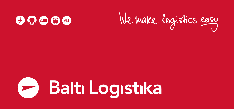



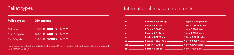

 $\mu$  b  $\mu$  1 pound = 0,4536 kg  $\mu$  1 kg = 2,2046 pounds  $\mu$ in  $\frac{1}{2}$  1 inch = 2,54 cm  $\frac{1}{2}$  cm  $\frac{1}{2}$  cm = 0,3937 inches  $\frac{1}{2}$ ft  $1600 = 0.3048$  m  $1600 = 0.3048$  m  $1000 = 3.2808$  feet  $1600 = 1600$ yd 1 yard = 0,9144 m 1 m = 1,0936 yards mi \_\_\_\_\_\_\_\_\_\_\_\_\_\_\_\_\_\_\_\_\_\_\_1 mile = 1,6093 km \_\_\_\_\_\_\_\_\_\_\_\_\_\_\_\_\_\_\_\_\_\_\_\_1 km = 0,6214 miles \_\_\_\_\_\_\_\_\_\_\_\_\_\_\_\_\_\_\_\_ oz 1 ounce = 28,3495 g 1 g = 0,03527 ounces gal  $\frac{1}{2}$  gallon = 3,7854 l  $\frac{1}{2}$  1 = 0,2642 gallons  $\frac{1}{2}$  gallons  $\frac{1}{2}$ pt 1 pint = 0.56826 l 1 l = 1,7598 pints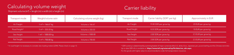# Calculating volume weight<br>
Shipment volume  $(m)^3$  = lenght  $(m)$  x width  $(m)$  x height  $(m)$

## Carrier liability

| Transport mode | Weight/volume ratio          | Calculating volume weight (kg) | Transport mode | Carrier liability (SDR* per kg) | Approximately in EUR |
|----------------|------------------------------|--------------------------------|----------------|---------------------------------|----------------------|
| Air Freight    | 1 mª = 166.67 ka             | Volume x 166.67                | Air Freight    | 19.00 SDR per gross kg          | 23 EUR per gross kg  |
| Road freight*  | $1 m3 = 333.33 kg$           | Volume x 333.33                | Road freight   | 8.33 SDR per gross kg           | 10 EUR per gross kg  |
| Sea freight    | 1 mª = 1000.00 kg            | Volume x 1000.00               | Sea freight    | 2.00 SDR per gross kg           | 2.5 EUR per gross kg |
| Rail freight   | 1 m <sup>3</sup> = 700.00 kg | Volume x 700.00                | Rail freight   | 2.00 SDR per gross kg           | 2.5 EUR per gross kg |

\* In road freight it is necessary to consider also loading meters (LDM). Please check on page 12.

\* SDR currency is determined by summing basket of major currencies (the U.S. dollar, Euro, Japanese yen, pound sterling and the Chinese renminbi). Up to date SDR info is available at https://www.imf.org/external/np/fin/data/rms\_sdrv.aspx. For the goods with higher value it is recommended to order full transportation insurance.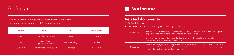

#### Air freight is best for moving small quantities with short transit time. Door-to-door service, more than 185 countries served.

| Service       | Description                         | Cost            | <b>Transit time</b> |
|---------------|-------------------------------------|-----------------|---------------------|
| Economy       | Consolidation service               | Low             | 7 to 14 days        |
| <b>Direct</b> | Direct flights,<br>pre-booked space | Moderately high | 3 to 5 days         |
| Superfast     | Tailor-made, 24/7 support           | Very high       | 1 to 72 hours       |



#### Related documents

• Air Waybill – AWB

• Commercial Invoice and Packing List issued by the shipper

| Economy       | The most cost-efficient way to move shipments by air. Goods are consolidated on regular<br>departures between hubs in North America, Asia and Europe.                                                                                       |
|---------------|---------------------------------------------------------------------------------------------------------------------------------------------------------------------------------------------------------------------------------------------|
| <b>Direct</b> | Direct routes between origins and destinations are used, space for shipments is<br>pre-booked to ensure desired transit time.                                                                                                               |
| Superfast     | Service for emergencies and very urgent deliveries. Transport solution tailored to customer<br>needs using all options available: highest priority on any flight and personnel on stand by<br>around the clock regardless of date and time. |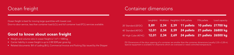

## Ocean freight **Container dimensions**

Ocean freight is best for moving large quantities with lowest cost. Door-to-door service, less than container load (LCL) and full container load (FCL) services available.

#### Good to know about ocean freight

- Weight and volume ratio in ocean freight is  $1 \text{ m}^3 = 1000 \text{ kg}$
- $\bullet$  Carrier liability in ocean freight is up to 2.00 SDR per gross kg
- Related documents: Bill of Lading (B/L), Commercial Invoice and Packing Slip issued by the Shipper

|                                                                            |  | Lenght(m) Width(m) Height(m) EUR pallets      | FIN pallets | Load capacity |
|----------------------------------------------------------------------------|--|-----------------------------------------------|-------------|---------------|
| 20' Standard (20'DC)                                                       |  | 5,89 2,34 2,39 11 pallets 10 pallets 21700 kg |             |               |
| 40' Standard (40'DC) <b>12,01 2,34 2,39 24 pallets 21 pallets 26800 kg</b> |  |                                               |             |               |
| 40' High Cube (40'HC) 12,01 2,34 2,69 24 pallets 21 pallets 26500 kg       |  |                                               |             |               |

#### PS! Dimensions of the door opening of a container are smaller than the container dimensions (usually 2,33 x 2,28 m). Special equipment is available for shipments which are oversized or need controlled temperature.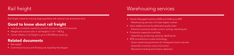

#### Rail freight is best for moving large quantities with optimal cost and transit time.

### Good to know about rail freight

- Less-than-container load (LCL) and full container load (FCL) services
- Weight and volume ratio in rail freight is  $1 m<sup>3</sup> = 700 kg$
- Carrier liability in rail freight is up to 2.00 SDR per gross kg

#### Related documents

- Rail waybill
- Commercial Invoice and Packing List issued by the shipper

## **Rail freight Warehousing services**

- Vendor Managed Inventory (VMI) and HUB since 2007
	- Warehousing services in A-class logistic centers
- Value added services by dedicated quality team
	- Electronic products quality control, sorting, reworking etc
- Production supportive activities
	- Assembling, producing, packing, labelling etc
- RFID and electronic scales technology
	- Smart warehousing solutions for transparent stock overview
	- Automatic inventory count and control
	- Movement tracking and location detection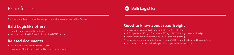



Road freight is the most effective transport mode for moving cargo within Europe.

### Balti Logistika offers

- door-to-door service all over Europe
- less than truck load (LTL) and full truck load (FTL) service

#### Related documents

- International road freight waybill CMR
- Commercial Invoice and Packing List issued by the shipper

#### Good to know about road freight

- weight and volume ratio in road freight is 1 m3 = 333.33 kg
- 1 EUR pallet = 740 kg, 1 FIN pallet = 925 kg, 1 LDM (loading meter) = 1850 kg
- carrier liability in road freight is up to 8.33 SDR per gross kg
- dimensions of a standard tent trailer length 13.60 m, width 2.45 m and height 2.70 m
- a standard trailer usually holds up to 33 EUR pallets or 26 FIN pallets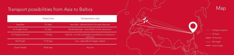## Transport possibilities from Asia to Baltics

|                           | Transit time | <b>Transportation cost</b>                                             |
|---------------------------|--------------|------------------------------------------------------------------------|
| Superfast                 | $0-2$ days   | Very high - tailored solution for each shipment                        |
| <b>Air Freight Direct</b> | 3-5 days     | Moderately high – direct flights to final destination                  |
| Air Freight Economy       | 7-10 days    | Optimal – air and road freight consolidations combined to<br>save cost |
| Rail Freight              | 17-25 days   | Low – especially for bigger cargoes                                    |
| Ocean Freight             | 30-60 days   | Very low                                                               |

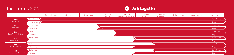



|                           |               | Export clearance | Loading on vehicle | Pre-carriage | Handling<br>at origin | Loading on<br>international transport | International<br>transport | Handling<br>at destination | Delivery to point | Import clearance | Unloading    |
|---------------------------|---------------|------------------|--------------------|--------------|-----------------------|---------------------------------------|----------------------------|----------------------------|-------------------|------------------|--------------|
| <b>EXW</b>                | Seller's cost |                  |                    |              |                       |                                       |                            |                            |                   |                  | Buyer's cost |
| Ex Works                  | Seller's risk |                  |                    |              |                       |                                       |                            |                            |                   |                  | Buyer's risk |
| <b>FCA</b>                | Seller's cost |                  |                    |              |                       |                                       |                            |                            |                   |                  | Buyer's cost |
| Free Carrier              | Seller's risk |                  |                    |              |                       |                                       |                            |                            |                   |                  | Buyer's risk |
| FAS                       | Seller's cost |                  |                    |              |                       |                                       |                            |                            |                   |                  | Buyer's cost |
| Free Alongside Ship       | Seller's risk |                  |                    |              |                       |                                       |                            |                            |                   |                  | Buyer's risk |
| <b>FOB</b>                | Seller's cost |                  |                    |              |                       |                                       |                            |                            |                   |                  | Buyer's cost |
| Free On Board             | Seller's risk |                  |                    |              |                       |                                       |                            |                            |                   |                  | Buyer's risk |
| <b>CFR</b>                | Seller's cost |                  |                    |              |                       |                                       |                            |                            |                   |                  | Buyer's cost |
| Cost & Freight            | Seller's risk |                  |                    |              |                       |                                       |                            |                            |                   |                  | Buyer's risk |
| <b>CIF</b>                | Seller's cost |                  |                    |              |                       |                                       |                            |                            |                   |                  | Buyer's cost |
| Cost, Insurance & Freight | Seller's risk |                  |                    |              |                       |                                       |                            |                            |                   |                  | Buyer's risk |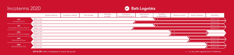



|                              |               | Export clearance | Loading on vehicle | Pre-carriage | Handling<br>at origin | Loading on<br>international transport | International<br>transport | Handling<br>at destination | Delivery to point | Import clearance | Unloading    |
|------------------------------|---------------|------------------|--------------------|--------------|-----------------------|---------------------------------------|----------------------------|----------------------------|-------------------|------------------|--------------|
| <b>CPT</b>                   | Seller's cost |                  |                    |              |                       |                                       |                            |                            |                   |                  | Buyer's cost |
| Carriage Paid To             | Seller's risk |                  |                    |              |                       |                                       |                            |                            |                   |                  | Buyer's risk |
| <b>CIP</b>                   | Seller's cost |                  |                    |              |                       |                                       |                            |                            |                   |                  | Buyer's cost |
| Carriage & Insurance Paid To | Seller's risk |                  |                    |              |                       |                                       |                            |                            |                   |                  | Buyer's risk |
| <b>DPU</b>                   | Seller's cost |                  |                    |              |                       |                                       |                            |                            |                   |                  |              |
| Delivered At Place Unloaded  | Seller's risk |                  |                    |              |                       |                                       |                            |                            |                   |                  |              |
| <b>DAP</b>                   | Seller's cost |                  |                    |              |                       |                                       |                            |                            |                   |                  | Buyer's cost |
| Delivered At Place           | Seller's risk |                  |                    |              |                       |                                       |                            |                            |                   |                  | Buyer's risk |
| <b>DDP</b>                   | Seller's cost |                  |                    |              |                       |                                       |                            |                            |                   |                  | Buyer's cost |
| Delivered Duty Paid          | Seller's risk |                  |                    |              |                       |                                       |                            |                            |                   |                  | Buyer's risk |

**CIF & CIP:** seller is obligated to insure the goods

\* - or any other agreed point of delivery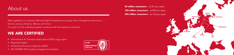## About us

Balti Logistika is a company offering freight forwarding and supply chain management services in Estonia, Latvia, Lithuania, Belarus and China Our goal is to be a leading logistics company with the happiest customers.

#### WE ARE CERTIFIED

- International Air Transport Association (IATA) cargo agent
- Regulated Agent
- Authorized Economic Operator (AEO)
- ISO ISO9001:2015 quality management standard



**50 million consumers** - at 24 hour reach **100 million consumers** - at 48 hour reach **250 million consumers** – at 72 hour reach

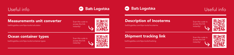







#### Measurements unit converter

baltilogistika.com/tips-tools/calculator **baltilogistika.com/tips-tools/incoterms** access une initial of the standies of the standies of the standies of the standies of the standies of the standies of the standies of the s



#### Description of Incoterms

Scan this code to access the link instantly!



#### Ocean container types

baltilogistika.com/tips-tools/container-types baltilogistika.com/tips-tools/tracking





Scan this code to access the link instantly!